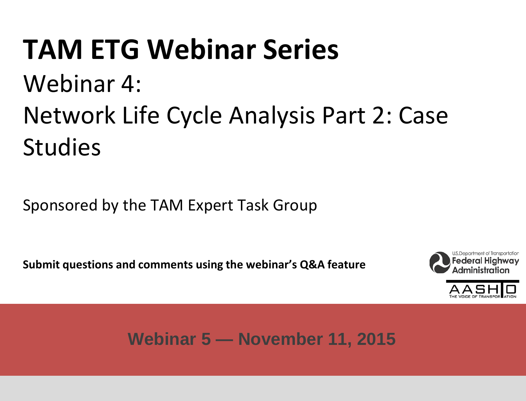## **TAM ETG Webinar Series** Webinar 4: Network Life Cycle Analysis Part 2: Case Studies

Sponsored by the TAM Expert Task Group

**Submit questions and comments using the webinar's Q&A feature**





**Webinar 5 — November 11, 2015**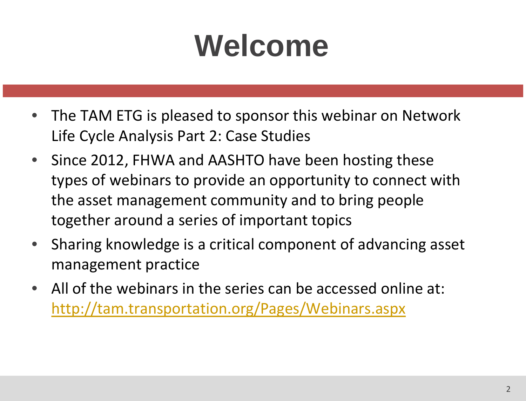# **Welcome**

- The TAM ETG is pleased to sponsor this webinar on Network Life Cycle Analysis Part 2: Case Studies
- Since 2012, FHWA and AASHTO have been hosting these types of webinars to provide an opportunity to connect with the asset management community and to bring people together around a series of important topics
- Sharing knowledge is a critical component of advancing asset management practice
- All of the webinars in the series can be accessed online at: <http://tam.transportation.org/Pages/Webinars.aspx>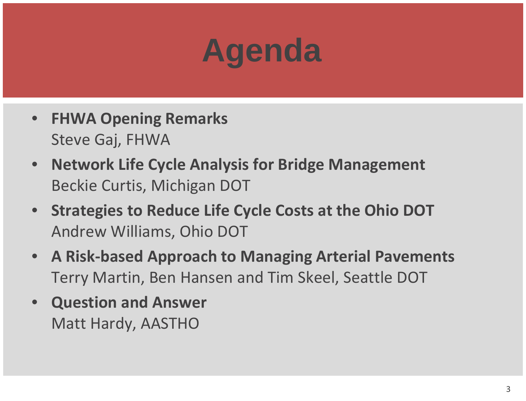# **Agenda**

- **FHWA Opening Remarks** Steve Gaj, FHWA
- **Network Life Cycle Analysis for Bridge Management** Beckie Curtis, Michigan DOT
- **Strategies to Reduce Life Cycle Costs at the Ohio DOT** Andrew Williams, Ohio DOT
- **A Risk-based Approach to Managing Arterial Pavements** Terry Martin, Ben Hansen and Tim Skeel, Seattle DOT
- **Question and Answer** Matt Hardy, AASTHO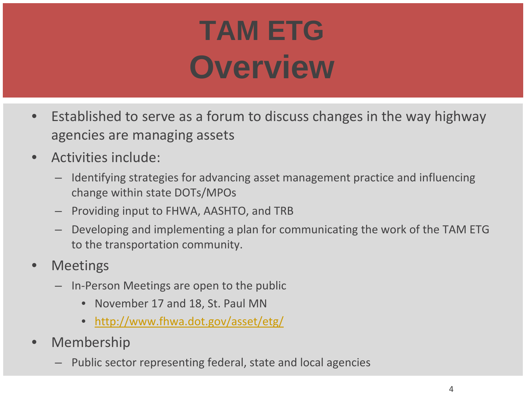# **TAM ETG Overview**

- Established to serve as a forum to discuss changes in the way highway agencies are managing assets
- Activities include:
	- Identifying strategies for advancing asset management practice and influencing change within state DOTs/MPOs
	- Providing input to FHWA, AASHTO, and TRB
	- Developing and implementing a plan for communicating the work of the TAM ETG to the transportation community.
- **Meetings** 
	- In-Person Meetings are open to the public
		- November 17 and 18, St. Paul MN
		- <http://www.fhwa.dot.gov/asset/etg/>
- **Membership** 
	- Public sector representing federal, state and local agencies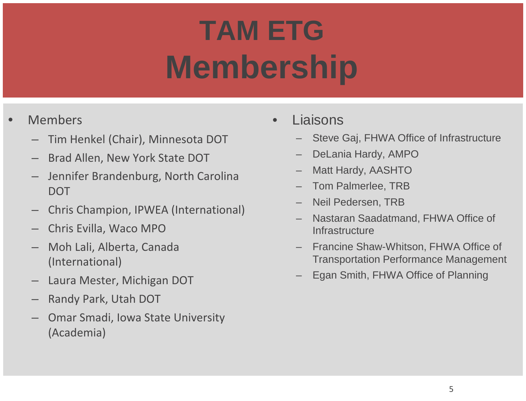# **TAM ETG Membership**

### **Members**

- Tim Henkel (Chair), Minnesota DOT
- Brad Allen, New York State DOT
- Jennifer Brandenburg, North Carolina **DOT**
- Chris Champion, IPWEA (International)
- Chris Evilla, Waco MPO
- Moh Lali, Alberta, Canada (International)
- Laura Mester, Michigan DOT
- Randy Park, Utah DOT
- Omar Smadi, Iowa State University (Academia)
- **Liaisons** 
	- Steve Gaj, FHWA Office of Infrastructure
	- DeLania Hardy, AMPO
	- Matt Hardy, AASHTO
	- Tom Palmerlee, TRB
	- Neil Pedersen, TRB
	- Nastaran Saadatmand, FHWA Office of **Infrastructure**
	- Francine Shaw-Whitson, FHWA Office of Transportation Performance Management
	- Egan Smith, FHWA Office of Planning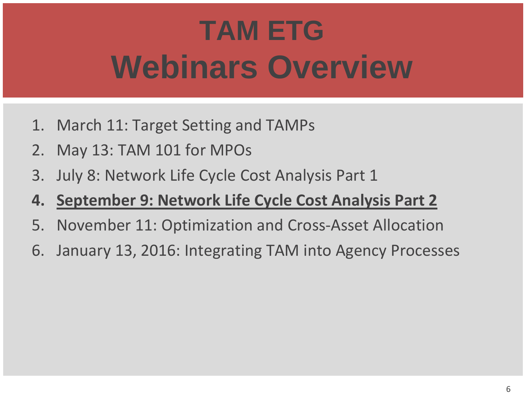# **TAM ETG Webinars Overview**

- 1. March 11: Target Setting and TAMPs
- 2. May 13: TAM 101 for MPOs
- 3. July 8: Network Life Cycle Cost Analysis Part 1
- **4. September 9: Network Life Cycle Cost Analysis Part 2**
- 5. November 11: Optimization and Cross-Asset Allocation
- 6. January 13, 2016: Integrating TAM into Agency Processes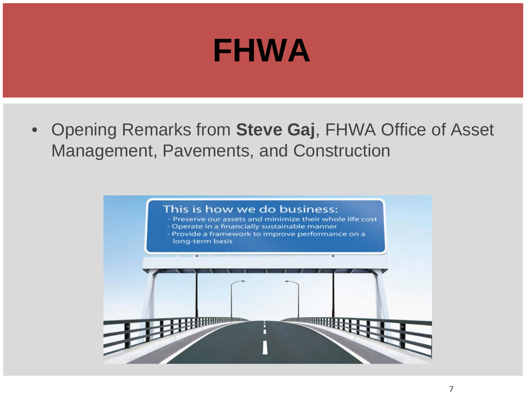## **FHWA**

• Opening Remarks from **Steve Gaj**, FHWA Office of Asset Management, Pavements, and Construction

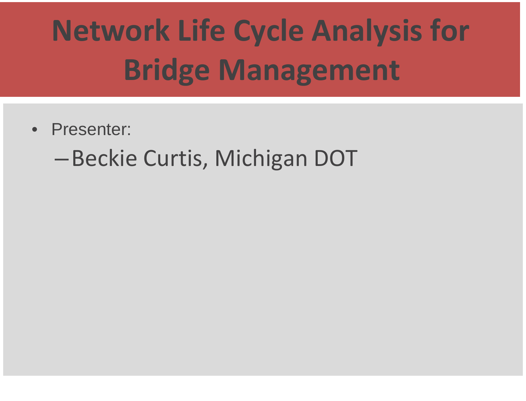# **Network Life Cycle Analysis for Bridge Management**

- Presenter:
	- –Beckie Curtis, Michigan DOT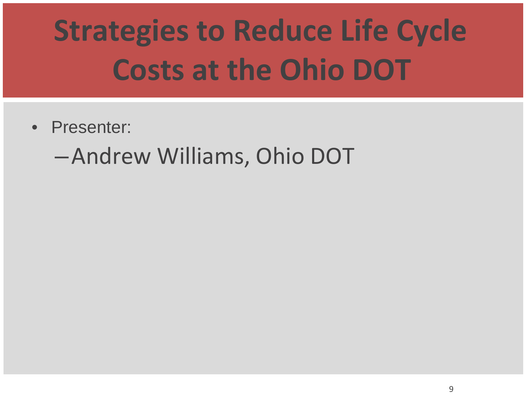# **Strategies to Reduce Life Cycle Costs at the Ohio DOT**

• Presenter:

–Andrew Williams, Ohio DOT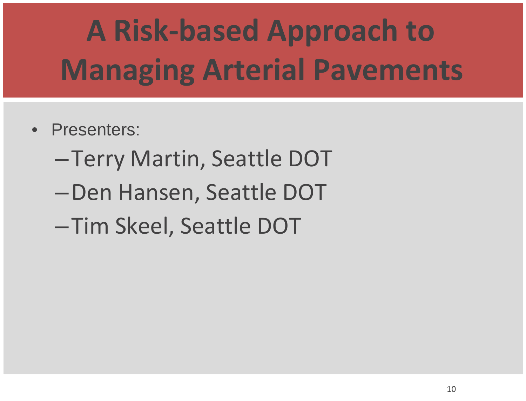# **A Risk-based Approach to Managing Arterial Pavements**

- Presenters:
	- –Terry Martin, Seattle DOT
	- –Den Hansen, Seattle DOT
	- –Tim Skeel, Seattle DOT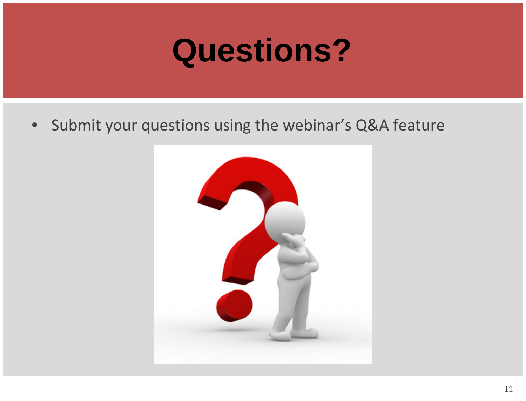## **Questions?**

• Submit your questions using the webinar's Q&A feature